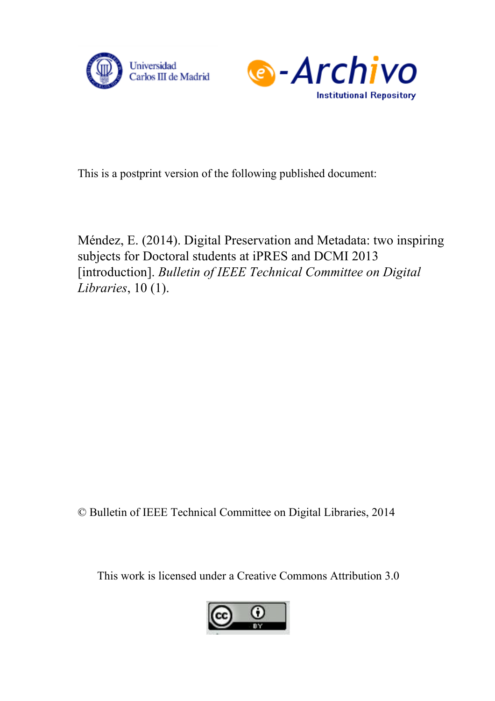



This is a postprint version of the following published document:

Méndez, E. (2014). Digital Preservation and Metadata: two inspiring subjects for Doctoral students at iPRES and DCMI 2013 [introduction]. *Bulletin of IEEE Technical Committee on Digital Libraries*, 10 (1).

© Bulletin of IEEE Technical Committee on Digital Libraries, 2014

This work is licensed under a Creative Commons Attribution 3.0

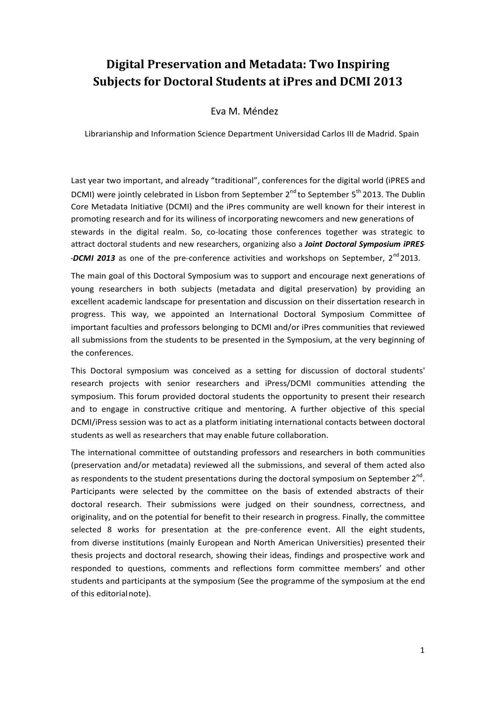## **Digital Preservation and Metadata: Two Inspiring Subjects for Doctoral Students at iPres and DCMI 2013**

## Eva M. Méndez

Librarianship and Information Science Department Universidad Carlos III de Madrid. Spain

Last year two important, and already "traditional", conferences for the digital world (iPRES and DCMI) were jointly celebrated in Lisbon from September 2<sup>nd</sup> to September 5<sup>th</sup> 2013. The Dublin Core Metadata Initiative (DCMI) and the iPres community are well known for their interest in promoting research and for its wiliness of incorporating newcomers and new generations of stewards in the digital realm. So, co-locating those conferences together was strategic to attract doctoral students and new researchers, organizing also a *Joint Doctoral Symposium iPRES- -DCMI* 2013 as one of the pre-conference activities and workshops on September, 2<sup>nd</sup> 2013.

The main goal of this Doctoral Symposium was to support and encourage next generations of young researchers in both subjects (metadata and digital preservation) by providing an excellent academic landscape for presentation and discussion on their dissertation research in progress. This way, we appointed an International Doctoral Symposium Committee of important faculties and professors belonging to DCMI and/or iPres communities that reviewed all submissions from the students to be presented in the Symposium, at the very beginning of the conferences.

This Doctoral symposium was conceived as a setting for discussion of doctoral students' research projects with senior researchers and iPress/DCMI communities attending the symposium. This forum provided doctoral students the opportunity to present their research and to engage in constructive critique and mentoring. A further objective of this special DCMI/iPress session was to act as a platform initiating international contacts between doctoral students as well as researchers that may enable future collaboration.

The international committee of outstanding professors and researchers in both communities (preservation and/or metadata) reviewed all the submissions, and several of them acted also as respondents to the student presentations during the doctoral symposium on September  $2^{nd}$ . Participants were selected by the committee on the basis of extended abstracts of their doctoral research. Their submissions were judged on their soundness, correctness, and originality, and on the potential for benefit to their research in progress. Finally, the committee selected 8 works for presentation at the pre-conference event. All the eight students, from diverse institutions (mainly European and North American Universities) presented their thesis projects and doctoral research, showing their ideas, findings and prospective work and responded to questions, comments and reflections form committee members' and other students and participants at the symposium (See the programme of the symposium at the end of this editorialnote).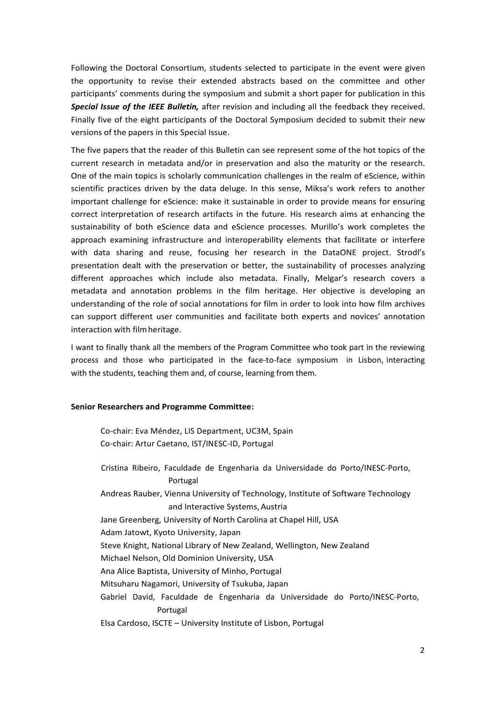Following the Doctoral Consortium, students selected to participate in the event were given the opportunity to revise their extended abstracts based on the committee and other participants' comments during the symposium and submit a short paper for publication in this *Special Issue of the IEEE Bulletin,* after revision and including all the feedback they received. Finally five of the eight participants of the Doctoral Symposium decided to submit their new versions of the papers in this Special Issue.

The five papers that the reader of this Bulletin can see represent some of the hot topics of the current research in metadata and/or in preservation and also the maturity or the research. One of the main topics is scholarly communication challenges in the realm of eScience, within scientific practices driven by the data deluge. In this sense, Miksa's work refers to another important challenge for eScience: make it sustainable in order to provide means for ensuring correct interpretation of research artifacts in the future. His research aims at enhancing the sustainability of both eScience data and eScience processes. Murillo's work completes the approach examining infrastructure and interoperability elements that facilitate or interfere with data sharing and reuse, focusing her research in the DataONE project. Strodl's presentation dealt with the preservation or better, the sustainability of processes analyzing different approaches which include also metadata. Finally, Melgar's research covers a metadata and annotation problems in the film heritage. Her objective is developing an understanding of the role of social annotations for film in order to look into how film archives can support different user communities and facilitate both experts and novices' annotation interaction with filmheritage.

I want to finally thank all the members of the Program Committee who took part in the reviewing process and those who participated in the face-to-face symposium in Lisbon, interacting with the students, teaching them and, of course, learning from them.

## **Senior Researchers and Programme Committee:**

Co-chair: Eva Méndez, LIS Department, UC3M, Spain Co-chair: Artur Caetano, IST/INESC-ID, Portugal

Cristina Ribeiro, Faculdade de Engenharia da Universidade do Porto/INESC-Porto, Portugal Andreas Rauber, Vienna University of Technology, Institute of Software Technology and Interactive Systems, Austria Jane Greenberg, University of North Carolina at Chapel Hill, USA Adam Jatowt, Kyoto University, Japan Steve Knight, National Library of New Zealand, Wellington, New Zealand Michael Nelson, Old Dominion University, USA Ana Alice Baptista, University of Minho, Portugal Mitsuharu Nagamori, University of Tsukuba, Japan Gabriel David, Faculdade de Engenharia da Universidade do Porto/INESC-Porto, Portugal Elsa Cardoso, ISCTE – University Institute of Lisbon, Portugal